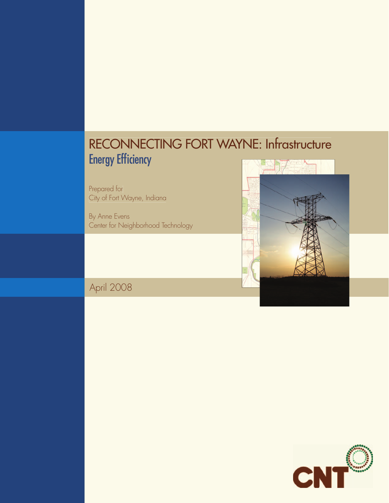# RECONNECTING FORT WAYNE: Infrastructure Energy Efficiency

Prepared for City of Fort Wayne, Indiana

By Anne Evens Center for Neighborhood Technology



April 2008

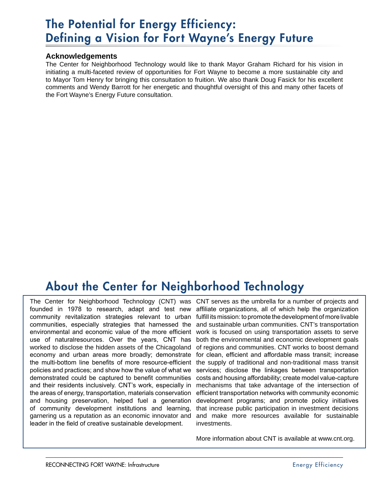## The Potential for Energy Efficiency: Defining a Vision for Fort Wayne's Energy Future

### **Acknowledgements**

The Center for Neighborhood Technology would like to thank Mayor Graham Richard for his vision in initiating a multi-faceted review of opportunities for Fort Wayne to become a more sustainable city and to Mayor Tom Henry for bringing this consultation to fruition. We also thank Doug Fasick for his excellent comments and Wendy Barrott for her energetic and thoughtful oversight of this and many other facets of the Fort Wayne's Energy Future consultation.

## About the Center for Neighborhood Technology

founded in 1978 to research, adapt and test new community revitalization strategies relevant to urban communities, especially strategies that harnessed the environmental and economic value of the more efficient use of naturalresources. Over the years, CNT has worked to disclose the hidden assets of the Chicagoland economy and urban areas more broadly; demonstrate the multi-bottom line benefits of more resource-efficient policies and practices; and show how the value of what we demonstrated could be captured to benefit communities and their residents inclusively. CNT's work, especially in the areas of energy, transportation, materials conservation and housing preservation, helped fuel a generation of community development institutions and learning, garnering us a reputation as an economic innovator and leader in the field of creative sustainable development.

The Center for Neighborhood Technology (CNT) was CNT serves as the umbrella for a number of projects and affiliate organizations, all of which help the organization fulfill its mission: to promote the development of more livable and sustainable urban communities. CNT's transportation work is focused on using transportation assets to serve both the environmental and economic development goals of regions and communities. CNT works to boost demand for clean, efficient and affordable mass transit; increase the supply of traditional and non-traditional mass transit services; disclose the linkages between transportation costs and housing affordability; create model value-capture mechanisms that take advantage of the intersection of efficient transportation networks with community economic development programs; and promote policy initiatives that increase public participation in investment decisions and make more resources available for sustainable investments.

More information about CNT is available at www.cnt.org.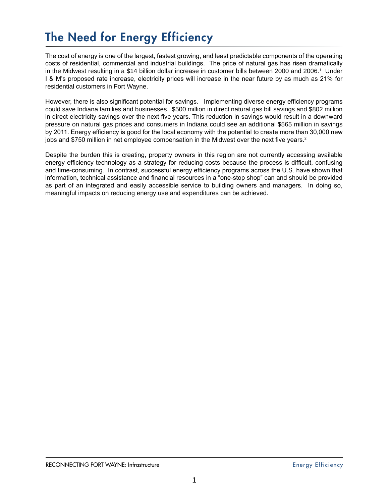# The Need for Energy Efficiency

The cost of energy is one of the largest, fastest growing, and least predictable components of the operating costs of residential, commercial and industrial buildings. The price of natural gas has risen dramatically in the Midwest resulting in a \$14 billion dollar increase in customer bills between 2000 and 2006.1 Under I & M's proposed rate increase, electricity prices will increase in the near future by as much as 21% for residential customers in Fort Wayne.

However, there is also significant potential for savings. Implementing diverse energy efficiency programs could save Indiana families and businesses. \$500 million in direct natural gas bill savings and \$802 million in direct electricity savings over the next five years. This reduction in savings would result in a downward pressure on natural gas prices and consumers in Indiana could see an additional \$565 million in savings by 2011. Energy efficiency is good for the local economy with the potential to create more than 30,000 new jobs and \$750 million in net employee compensation in the Midwest over the next five years.<sup>2</sup>

Despite the burden this is creating, property owners in this region are not currently accessing available energy efficiency technology as a strategy for reducing costs because the process is difficult, confusing and time-consuming. In contrast, successful energy efficiency programs across the U.S. have shown that information, technical assistance and financial resources in a "one-stop shop" can and should be provided as part of an integrated and easily accessible service to building owners and managers. In doing so, meaningful impacts on reducing energy use and expenditures can be achieved.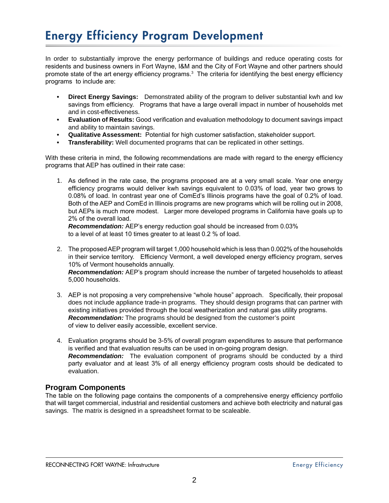## Energy Efficiency Program Development

In order to substantially improve the energy performance of buildings and reduce operating costs for residents and business owners in Fort Wayne, I&M and the City of Fort Wayne and other partners should promote state of the art energy efficiency programs.<sup>3</sup> The criteria for identifying the best energy efficiency programs to include are:

- **Direct Energy Savings:** Demonstrated ability of the program to deliver substantial kwh and kw savings from efficiency. Programs that have a large overall impact in number of households met and in cost-effectiveness. **•**
- **Evaluation of Results:** Good verification and evaluation methodology to document savings impact **•** and ability to maintain savings.
- **Qualitative Assessment:** Potential for high customer satisfaction, stakeholder support. **•**
- **Transferability:** Well documented programs that can be replicated in other settings. **•**

With these criteria in mind, the following recommendations are made with regard to the energy efficiency programs that AEP has outlined in their rate case:

As defined in the rate case, the programs proposed are at a very small scale. Year one energy 1. efficiency programs would deliver kwh savings equivalent to 0.03% of load, year two grows to 0.08% of load. In contrast year one of ComEd's Illinois programs have the goal of 0.2% of load. Both of the AEP and ComEd in Illinois programs are new programs which will be rolling out in 2008, but AEPs is much more modest. Larger more developed programs in California have goals up to 2% of the overall load.

*Recommendation:* AEP's energy reduction goal should be increased from 0.03% to a level of at least 10 times greater to at least 0.2 % of load.

- The proposed AEP program will target 1,000 household which is less than 0.002% of the households 2. in their service territory. Efficiency Vermont, a well developed energy efficiency program, serves 10% of Vermont households annually. *Recommendation:* AEP's program should increase the number of targeted households to atleast 5,000 households.
- AEP is not proposing a very comprehensive "whole house" approach. Specifically, their proposal 3. does not include appliance trade-in programs. They should design programs that can partner with existing initiatives provided through the local weatherization and natural gas utility programs. *Recommendation:* The programs should be designed from the customer's point of view to deliver easily accessible, excellent service.
- Evaluation programs should be 3-5% of overall program expenditures to assure that performance 4. is verified and that evaluation results can be used in on-going program design. *Recommendation:* The evaluation component of programs should be conducted by a third party evaluator and at least 3% of all energy efficiency program costs should be dedicated to evaluation.

### **Program Components**

The table on the following page contains the components of a comprehensive energy efficiency portfolio that will target commercial, industrial and residential customers and achieve both electricity and natural gas savings. The matrix is designed in a spreadsheet format to be scaleable.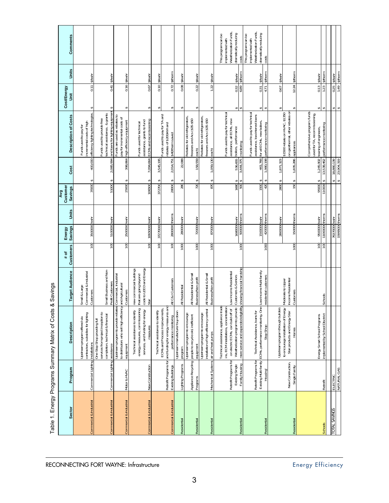| <b>Sector</b>           | Program                                                    | Description                                                                                                                                                                                                                                         | <b>Target Audience</b>                                                               | <b>Customers</b><br>$\frac{1}{2}$ | <b>Savings</b><br>Energy      | Units | Customer<br><b>Savings</b><br>Avg | Cost                               | <b>Description of Costs</b>                                                                                               | Cost/Energy<br>Š                  | Units                            | Comments                                                                                           |
|-------------------------|------------------------------------------------------------|-----------------------------------------------------------------------------------------------------------------------------------------------------------------------------------------------------------------------------------------------------|--------------------------------------------------------------------------------------|-----------------------------------|-------------------------------|-------|-----------------------------------|------------------------------------|---------------------------------------------------------------------------------------------------------------------------|-----------------------------------|----------------------------------|----------------------------------------------------------------------------------------------------|
| Commercial & Industrial | Commercial Lighting  installations                         | contractors, subsidies for lighting<br>Upstream program offered via                                                                                                                                                                                 | Commercial & Industrial<br>Small & Large<br>Customers                                | $\overline{100}$                  | 3500000 kwhr                  |       | 35000                             | 400,000<br>↔                       | efficiency lighting technologies.<br>ncremental costs of high<br>Funds used to pay for                                    | ↔                                 | 0.11 <b>\$/kwhr</b>              |                                                                                                    |
| Commercial & Industrial | Commercial Lighting assistance                             | services from project inception to<br>completion, technical & financial<br>One Stop Shop providing full                                                                                                                                             | Small Business and Non-<br>Profit Customers                                          | 100                               | 5100000 kwhr                  |       | 51000                             | 2,085,994<br>↔                     | and loans for lighting equipment<br>echnical assistance, & grants<br>Funds used to provide free                           | 0.41<br>↮                         | <b>S/kwhr</b>                    |                                                                                                    |
| Commercial & Industrial | Motor & HVAC                                               | Σū<br>Upstream program to provide reba<br>to distributors who sell high efficien<br>equipment                                                                                                                                                       | ies Commercial, Industrial<br>and Agricultural<br>Customers                          | $\overline{100}$                  | 2500000 kwhr                  |       | 25000                             | 398,864<br>↔                       | Funds are used as rebates to<br>bay for incremental costs of<br>high efficiency equipment                                 | €                                 | 0.16   \$/kwhr                   |                                                                                                    |
| Commercial & Industrial | New Construction                                           | energy measures, commissioning<br>Technical assistance to identify<br>services, and funding for energy<br>measures                                                                                                                                  | new commercial buildings<br>that are going beyond<br>code to LEED and Energy<br>Star | $\overline{100}$                  | 10650000 kwhr                 |       | 106500 \$                         |                                    | assistance, grants to fund<br>7,094,664 ECMs and recomissioning<br>Funds used for technical                               | ↮                                 | 0.67 S/kwhr                      |                                                                                                    |
|                         |                                                            | Technical assistance to identify                                                                                                                                                                                                                    |                                                                                      | 100                               | 37270000 kwhr                 |       | 372700                            | 3,545,195<br>S                     |                                                                                                                           | ↔                                 | $0.10$ S/kwhr                    |                                                                                                    |
| Commercial & Industrial | Retrofit Programs for<br>Existing Buildings                | and funding for energy measures and<br>ECMs and Process Improvements,<br>performance monitoring                                                                                                                                                     | All C& I Customers                                                                   | 100                               | 2800000 therms                |       | 28000 \$                          | 2,014,751                          | Funds used to pay for TA and<br>ebates of \$200/kW and<br>\$40/therm saved                                                | ↮                                 | 0.72   \$/therm                  |                                                                                                    |
| Residential             | Lighting Programs                                          | Upstream manufacturer buy-down<br>program                                                                                                                                                                                                           | All Residential                                                                      | 1000                              | 280000 kwhr                   |       | 280                               | 22,088                             |                                                                                                                           | ↔                                 | 0.08 S/kwhr                      |                                                                                                    |
| Residential             | Appliance Recycling<br>Programs                            | Jpstream program to encourage<br>people to recycle old, inefficient<br>equipment                                                                                                                                                                    | All Residential & Small<br>Business/Non-profit                                       | 1000                              | 720000 kwhr                   |       | 720                               | 158,559<br>↔                       | Rebates for old refrigerators<br>freezers and Acs (\$35-\$50<br>each)                                                     | ↔                                 | 0.22 S/kwhr                      |                                                                                                    |
| Residential             | Mechanical Systems air and heat pumps                      | installation of high efficiency central<br>Upstream program to encourage                                                                                                                                                                            | All Residential & Small<br>Business/Non-profit                                       | 1000                              | 870000 <sub>kwhr</sub>        |       | 870                               | 1,059,130<br>↔                     | Rebates for old refrigerators<br>freezers and Acs (\$35-\$50<br>each)                                                     | 122<br>↔                          | <b>S/kwhr</b>                    |                                                                                                    |
| Residential             | Retrofit Programs for<br>Existing Single<br>Family Housing | Weatherization program to provide   Customers & Seniors<br>more service and expanded eligibility showing financial hardship<br>Technical assistance, appliance trade<br>ins, ECM installations, concentration<br>on electric ECMs, can build off of | Low Income Residential                                                               | 1000                              | 500000 therms<br>1680000 kwhr |       | 1680<br>500                       | 536,655<br>↮                       | Funds used to pay for technical<br>assistance, all ECMs, new<br>boilers, performance<br>3,444,375   monitoring            | 6.89<br>0.32<br>↮                 | <b>S/therm</b><br><b>S/kwhr</b>  | Weatherization Funds,<br>dramatically reducing<br>This program can be<br>implemented with<br>costs |
| Residential             | Retrofit Programs for<br>Housing                           | Existing Multi-family ECMs, performance monitoring, One-Low-Income Multi-family<br>Technical Assistance, loans for<br>Stop Shop                                                                                                                     | residential customers                                                                | 1000                              | 420000 therms<br>1500000 kwhr |       | 1500<br>420                       | 1,980,198<br>461,766<br>↔          | Funds used to pay for technical<br>assistance, low-interest loans<br>for all ECMs, new boilers,<br>performance monitoring | 0.31<br>4.71<br>$\leftrightarrow$ | <b>S/therm</b><br><b>S/kwhr</b>  | Weatherization Funds,<br>dramatically reducing<br>This program can be<br>implemented with<br>costs |
|                         |                                                            | Upstream program through builders<br>to encourage installation of Energy                                                                                                                                                                            | Moderate to Upper                                                                    |                                   | 2800000 kwhr                  |       | 2800                              | 1,871,323<br>$\leftrightarrow$     | \$1500 rebate on HVAC, \$1350                                                                                             | 0.67<br>$\leftrightarrow$         | <b>S/kwhr</b>                    |                                                                                                    |
| Residential             | New Construction,<br>Single Family                         | Star products and Energy Star<br>Homes                                                                                                                                                                                                              | Income Residential<br>Customers                                                      | 1000                              | 150000 therms                 |       | 150                               | 1,835,286<br>$\leftrightarrow$     | on geothermal, other rebates on<br>appliances                                                                             | ↔                                 | 12.24   \$/therm                 |                                                                                                    |
|                         |                                                            | Energy Smart School Programs                                                                                                                                                                                                                        |                                                                                      | $\overline{100}$                  | 9500000 kwhr                  |       | 95000                             | 1,245,902<br>$\leftrightarrow$     | Comprehensive program, funds<br>used for TA, recommissioning,<br>training of engineers,                                   | 0.13<br>$\leftrightarrow$         | <b>S/kwhr</b>                    |                                                                                                    |
| Schools                 | Retrofit                                                   | implemented by School Disctrict                                                                                                                                                                                                                     | Schools                                                                              | 100                               | 11000000 therms               |       | 110000                            | 13,538,462<br>↮                    | performance monitoring                                                                                                    | 1.23                              | <b>S/therm</b>                   |                                                                                                    |
| <b>TOTAL SAVINGS</b>    | ELECTRIC                                                   |                                                                                                                                                                                                                                                     |                                                                                      |                                   | 76370000 kwhr                 |       |                                   |                                    |                                                                                                                           |                                   |                                  |                                                                                                    |
|                         | MATURAL GAS                                                |                                                                                                                                                                                                                                                     |                                                                                      |                                   | 15995000 therms               |       |                                   | 23,904,319<br>18,880,139<br>↔<br>↔ |                                                                                                                           | $\overline{0.25}$                 | 1.49   \$/therm<br><b>S/kwhr</b> |                                                                                                    |

Table 1. Energy Programs Summary Matrix of Costs & Savings Table 1. Energy Programs Summary Matrix of Costs & Savings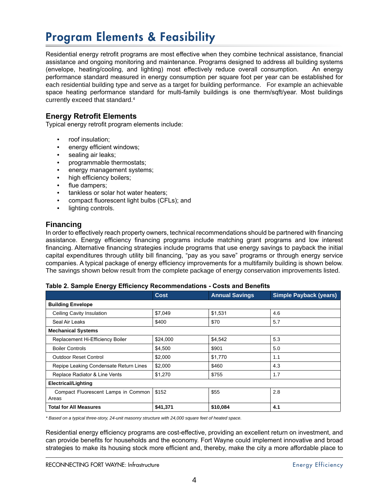# Program Elements & Feasibility

Residential energy retrofit programs are most effective when they combine technical assistance, financial assistance and ongoing monitoring and maintenance. Programs designed to address all building systems (envelope, heating/cooling, and lighting) most effectively reduce overall consumption. An energy performance standard measured in energy consumption per square foot per year can be established for each residential building type and serve as a target for building performance. For example an achievable space heating performance standard for multi-family buildings is one therm/sqft/year. Most buildings currently exceed that standard.<sup>4</sup>

## **Energy Retrofit Elements**

Typical energy retrofit program elements include:

- roof insulation; •
- energy efficient windows; •
- sealing air leaks; •
- programmable thermostats;
- energy management systems; •
- high efficiency boilers; •
- flue dampers; •
- tankless or solar hot water heaters; •
- compact fluorescent light bulbs (CFLs); and •
- lighting controls. •

### **Financing**

In order to effectively reach property owners, technical recommendations should be partnered with financing assistance. Energy efficiency financing programs include matching grant programs and low interest financing. Alternative financing strategies include programs that use energy savings to payback the initial capital expenditures through utility bill financing, "pay as you save" programs or through energy service companies. A typical package of energy efficiency improvements for a multifamily building is shown below. The savings shown below result from the complete package of energy conservation improvements listed.

#### **Table 2. Sample Energy Efficiency Recommendations - Costs and Benefits**

|                                              | Cost     | <b>Annual Savings</b> | <b>Simple Payback (years)</b> |  |  |  |
|----------------------------------------------|----------|-----------------------|-------------------------------|--|--|--|
| <b>Building Envelope</b>                     |          |                       |                               |  |  |  |
| Ceiling Cavity Insulation                    | \$7,049  | \$1,531               | 4.6                           |  |  |  |
| Seal Air Leaks                               | \$400    | \$70                  | 5.7                           |  |  |  |
| <b>Mechanical Systems</b>                    |          |                       |                               |  |  |  |
| Replacement Hi-Efficiency Boiler             | \$24,000 | \$4,542               | 5.3                           |  |  |  |
| <b>Boiler Controls</b>                       | \$4,500  | \$901                 | 5.0                           |  |  |  |
| <b>Outdoor Reset Control</b>                 | \$2,000  | \$1,770               | 1.1                           |  |  |  |
| Repipe Leaking Condensate Return Lines       | \$2,000  | \$460                 | 4.3                           |  |  |  |
| Replace Radiator & Line Vents                | \$1,270  | \$755                 | 1.7                           |  |  |  |
| <b>Electrical/Lighting</b>                   |          |                       |                               |  |  |  |
| Compact Fluorescent Lamps in Common<br>Areas | \$152    | \$55                  | 2.8                           |  |  |  |
| <b>Total for All Measures</b>                | \$41,371 | \$10,084              | 4.1                           |  |  |  |

*\* Based on a typical three-story, 24-unit masonry structure with 24,000 square feet of heated space.*

Residential energy efficiency programs are cost-effective, providing an excellent return on investment, and can provide benefits for households and the economy. Fort Wayne could implement innovative and broad strategies to make its housing stock more efficient and, thereby, make the city a more affordable place to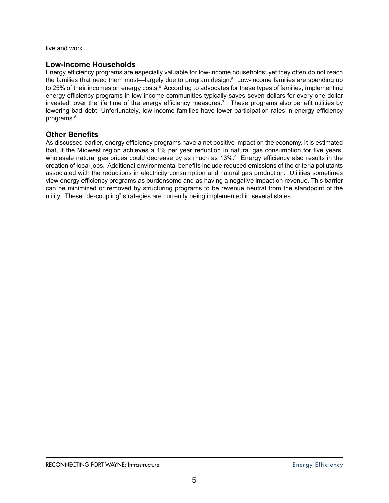live and work.

### **Low-Income Households**

Energy efficiency programs are especially valuable for low-income households; yet they often do not reach the families that need them most—largely due to program design.<sup>5</sup> Low-income families are spending up to 25% of their incomes on energy costs. $^6$  According to advocates for these types of families, implementing energy efficiency programs in low income communities typically saves seven dollars for every one dollar invested over the life time of the energy efficiency measures.<sup>7</sup> These programs also benefit utilities by lowering bad debt. Unfortunately, low-income families have lower participation rates in energy efficiency programs.<sup>8</sup>

### **Other Benefits**

As discussed earlier, energy efficiency programs have a net positive impact on the economy. It is estimated that, if the Midwest region achieves a 1% per year reduction in natural gas consumption for five years, wholesale natural gas prices could decrease by as much as 13%.<sup>9</sup> Energy efficiency also results in the creation of local jobs. Additional environmental benefits include reduced emissions of the criteria pollutants associated with the reductions in electricity consumption and natural gas production. Utilities sometimes view energy efficiency programs as burdensome and as having a negative impact on revenue. This barrier can be minimized or removed by structuring programs to be revenue neutral from the standpoint of the utility. These "de-coupling" strategies are currently being implemented in several states.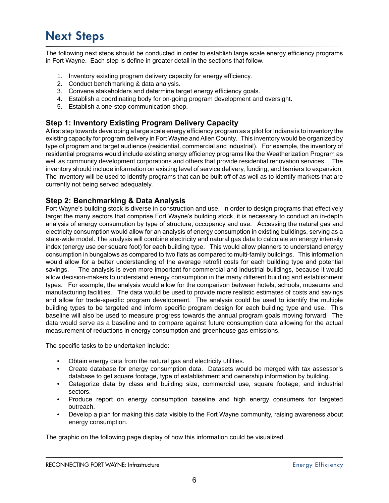## Next Steps

The following next steps should be conducted in order to establish large scale energy efficiency programs in Fort Wayne. Each step is define in greater detail in the sections that follow.

- 1. Inventory existing program delivery capacity for energy efficiency.
- Conduct benchmarking & data analysis. 2.
- Convene stakeholders and determine target energy efficiency goals. 3.
- Establish a coordinating body for on-going program development and oversight. 4.
- Establish a one-stop communication shop. 5.

### **Step 1: Inventory Existing Program Delivery Capacity**

A first step towards developing a large scale energy efficiency program as a pilot for Indiana is to inventory the existing capacity for program delivery in Fort Wayne and Allen County. This inventory would be organized by type of program and target audience (residential, commercial and industrial). For example, the inventory of residential programs would include existing energy efficiency programs like the Weatherization Program as well as community development corporations and others that provide residential renovation services. The inventory should include information on existing level of service delivery, funding, and barriers to expansion. The inventory will be used to identify programs that can be built off of as well as to identify markets that are currently not being served adequately.

### **Step 2: Benchmarking & Data Analysis**

Fort Wayne's building stock is diverse in construction and use. In order to design programs that effectively target the many sectors that comprise Fort Wayne's building stock, it is necessary to conduct an in-depth analysis of energy consumption by type of structure, occupancy and use. Accessing the natural gas and electricity consumption would allow for an analysis of energy consumption in existing buildings, serving as a state-wide model. The analysis will combine electricity and natural gas data to calculate an energy intensity index (energy use per square foot) for each building type. This would allow planners to understand energy consumption in bungalows as compared to two flats as compared to multi-family buildings. This information would allow for a better understanding of the average retrofit costs for each building type and potential savings. The analysis is even more important for commercial and industrial buildings, because it would allow decision-makers to understand energy consumption in the many different building and establishment types. For example, the analysis would allow for the comparison between hotels, schools, museums and manufacturing facilities. The data would be used to provide more realistic estimates of costs and savings and allow for trade-specific program development. The analysis could be used to identify the multiple building types to be targeted and inform specific program design for each building type and use. This baseline will also be used to measure progress towards the annual program goals moving forward. The data would serve as a baseline and to compare against future consumption data allowing for the actual measurement of reductions in energy consumption and greenhouse gas emissions.

The specific tasks to be undertaken include:

- Obtain energy data from the natural gas and electricity utilities. •
- Create database for energy consumption data. Datasets would be merged with tax assessor's database to get square footage, type of establishment and ownership information by building.
- Categorize data by class and building size, commercial use, square footage, and industrial sectors.
- Produce report on energy consumption baseline and high energy consumers for targeted outreach.
- Develop a plan for making this data visible to the Fort Wayne community, raising awareness about energy consumption.

The graphic on the following page display of how this information could be visualized.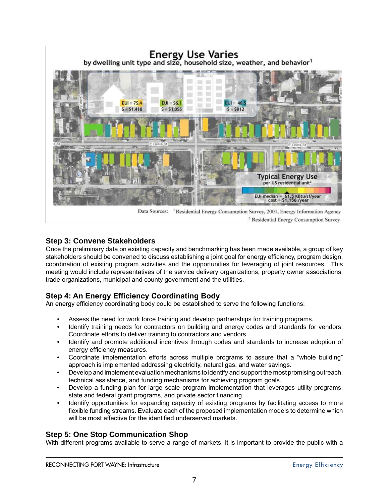

### **Step 3: Convene Stakeholders**

Once the preliminary data on existing capacity and benchmarking has been made available, a group of key stakeholders should be convened to discuss establishing a joint goal for energy efficiency, program design, coordination of existing program activities and the opportunities for leveraging of joint resources. This meeting would include representatives of the service delivery organizations, property owner associations, trade organizations, municipal and county government and the utilities.

## **Step 4: An Energy Efficiency Coordinating Body**

An energy efficiency coordinating body could be established to serve the following functions:

- Assess the need for work force training and develop partnerships for training programs. •
- Identify training needs for contractors on building and energy codes and standards for vendors. Coordinate efforts to deliver training to contractors and vendors.. •
- Identify and promote additional incentives through codes and standards to increase adoption of energy efficiency measures. •
- Coordinate implementation efforts across multiple programs to assure that a "whole building" approach is implemented addressing electricity, natural gas, and water savings. •
- Develop and implement evaluation mechanisms to identify and support the most promising outreach, technical assistance, and funding mechanisms for achieving program goals. •
- Develop a funding plan for large scale program implementation that leverages utility programs, state and federal grant programs, and private sector financing. •
- Identify opportunities for expanding capacity of existing programs by facilitating access to more flexible funding streams. Evaluate each of the proposed implementation models to determine which will be most effective for the identified underserved markets. •

## **Step 5: One Stop Communication Shop**

With different programs available to serve a range of markets, it is important to provide the public with a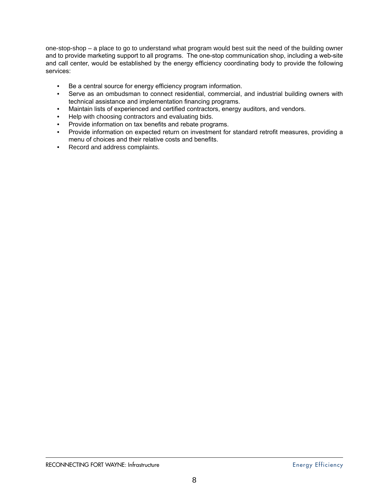one-stop-shop – a place to go to understand what program would best suit the need of the building owner and to provide marketing support to all programs. The one-stop communication shop, including a web-site and call center, would be established by the energy efficiency coordinating body to provide the following services:

- Be a central source for energy efficiency program information. •
- Serve as an ombudsman to connect residential, commercial, and industrial building owners with technical assistance and implementation financing programs.
- Maintain lists of experienced and certified contractors, energy auditors, and vendors. •
- Help with choosing contractors and evaluating bids.
- Provide information on tax benefits and rebate programs.
- Provide information on expected return on investment for standard retrofit measures, providing a menu of choices and their relative costs and benefits.
- Record and address complaints.